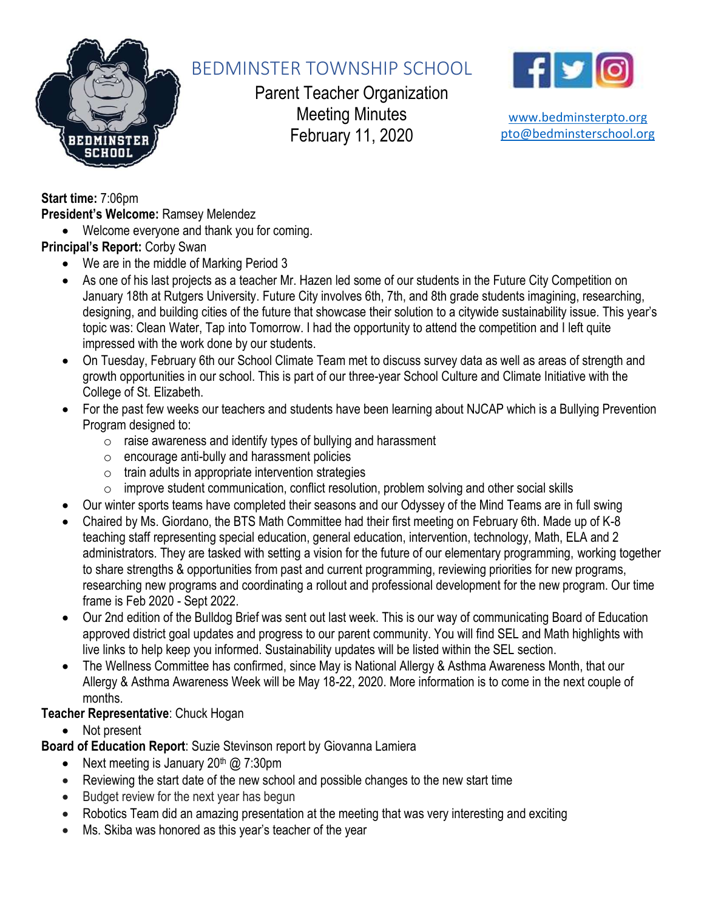

# BEDMINSTER TOWNSHIP SCHOOL

Parent Teacher Organization Meeting Minutes February 11, 2020



[www.bedminsterpto.org](http://www.bedminsterpto.org/) [pto@bedminsterschool.org](mailto:pto@bedminsterschool.org)

**Start time:** 7:06pm **President's Welcome:** Ramsey Melendez

• Welcome everyone and thank you for coming.

**Principal's Report:** Corby Swan

- We are in the middle of Marking Period 3
- As one of his last projects as a teacher Mr. Hazen led some of our students in the Future City Competition on January 18th at Rutgers University. Future City involves 6th, 7th, and 8th grade students imagining, researching, designing, and building cities of the future that showcase their solution to a citywide sustainability issue. This year's topic was: Clean Water, Tap into Tomorrow. I had the opportunity to attend the competition and I left quite impressed with the work done by our students.
- On Tuesday, February 6th our School Climate Team met to discuss survey data as well as areas of strength and growth opportunities in our school. This is part of our three-year School Culture and Climate Initiative with the College of St. Elizabeth.
- For the past few weeks our teachers and students have been learning about NJCAP which is a Bullying Prevention Program designed to:
	- $\circ$  raise awareness and identify types of bullying and harassment
	- o encourage anti-bully and harassment policies
	- $\circ$  train adults in appropriate intervention strategies
	- o improve student communication, conflict resolution, problem solving and other social skills
- Our winter sports teams have completed their seasons and our Odyssey of the Mind Teams are in full swing
- Chaired by Ms. Giordano, the BTS Math Committee had their first meeting on February 6th. Made up of K-8 teaching staff representing special education, general education, intervention, technology, Math, ELA and 2 administrators. They are tasked with setting a vision for the future of our elementary programming, working together to share strengths & opportunities from past and current programming, reviewing priorities for new programs, researching new programs and coordinating a rollout and professional development for the new program. Our time frame is Feb 2020 - Sept 2022.
- Our 2nd edition of the Bulldog Brief was sent out last week. This is our way of communicating Board of Education approved district goal updates and progress to our parent community. You will find SEL and Math highlights with live links to help keep you informed. Sustainability updates will be listed within the SEL section.
- The Wellness Committee has confirmed, since May is National Allergy & Asthma Awareness Month, that our Allergy & Asthma Awareness Week will be May 18-22, 2020. More information is to come in the next couple of months.

#### **Teacher Representative**: Chuck Hogan

• Not present

**Board of Education Report**: Suzie Stevinson report by Giovanna Lamiera

- Next meeting is January  $20<sup>th</sup>$  @ 7:30pm
- Reviewing the start date of the new school and possible changes to the new start time
- Budget review for the next year has begun
- Robotics Team did an amazing presentation at the meeting that was very interesting and exciting
- Ms. Skiba was honored as this year's teacher of the year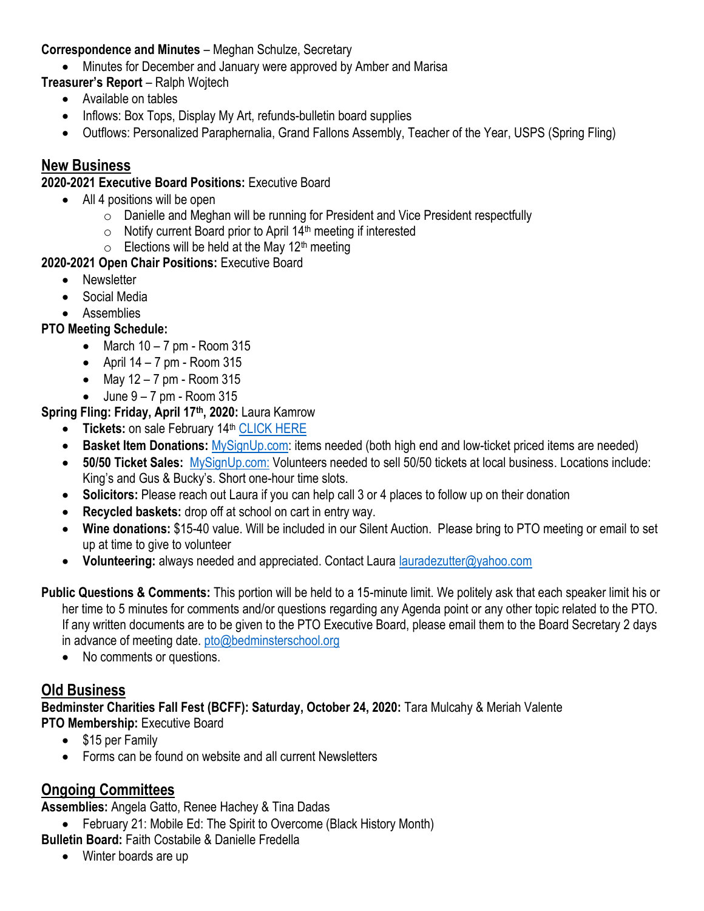#### **Correspondence and Minutes** – Meghan Schulze, Secretary

• Minutes for December and January were approved by Amber and Marisa

**Treasurer's Report** – Ralph Wojtech

- Available on tables
- Inflows: Box Tops, Display My Art, refunds-bulletin board supplies
- Outflows: Personalized Paraphernalia, Grand Fallons Assembly, Teacher of the Year, USPS (Spring Fling)

#### **New Business**

#### **2020-2021 Executive Board Positions:** Executive Board

- All 4 positions will be open
	- o Danielle and Meghan will be running for President and Vice President respectfully
	- $\circ$  Notify current Board prior to April 14<sup>th</sup> meeting if interested
	- $\circ$  Elections will be held at the May 12<sup>th</sup> meeting

#### **2020-2021 Open Chair Positions:** Executive Board

- Newsletter
- Social Media
- Assemblies

#### **PTO Meeting Schedule:**

- March  $10 7$  pm Room  $315$
- April  $14 7$  pm Room  $315$
- May  $12 7$  pm Room  $315$
- $\bullet$  June  $9 7$  pm Room 315

**Spring Fling: Friday, April 17th, 2020:** Laura Kamrow

- **Tickets:** on sale February 14<sup>th</sup> [CLICK HERE](http://www.bedminsterpto.org/store/c4/Spring_Fling_2020.html)
- **Basket Item Donations:** [MySignUp.com:](https://signup.com/go/ccdtYys) items needed (both high end and low-ticket priced items are needed)
- **50/50 Ticket Sales:** [MySignUp.com:](https://signup.com/go/hCxEoDZ) Volunteers needed to sell 50/50 tickets at local business. Locations include: King's and Gus & Bucky's. Short one-hour time slots.
- **Solicitors:** Please reach out Laura if you can help call 3 or 4 places to follow up on their donation
- **Recycled baskets:** drop off at school on cart in entry way.
- **Wine donations:** \$15-40 value. Will be included in our Silent Auction. Please bring to PTO meeting or email to set up at time to give to volunteer
- **Volunteering:** always needed and appreciated. Contact Laura [lauradezutter@yahoo.com](mailto:lauradezutter@yahoo.com)

**Public Questions & Comments:** This portion will be held to a 15-minute limit. We politely ask that each speaker limit his or her time to 5 minutes for comments and/or questions regarding any Agenda point or any other topic related to the PTO. If any written documents are to be given to the PTO Executive Board, please email them to the Board Secretary 2 days in advance of meeting date. [pto@bedminsterschool.org](mailto:pto@bedminsterschool.org)

• No comments or questions.

#### **Old Business**

**Bedminster Charities Fall Fest (BCFF): Saturday, October 24, 2020:** Tara Mulcahy & Meriah Valente **PTO Membership:** Executive Board

- \$15 per Family
- Forms can be found on website and all current Newsletters

### **Ongoing Committees**

**Assemblies:** Angela Gatto, Renee Hachey & Tina Dadas

• February 21: Mobile Ed: The Spirit to Overcome (Black History Month)

**Bulletin Board:** Faith Costabile & Danielle Fredella

• Winter boards are up